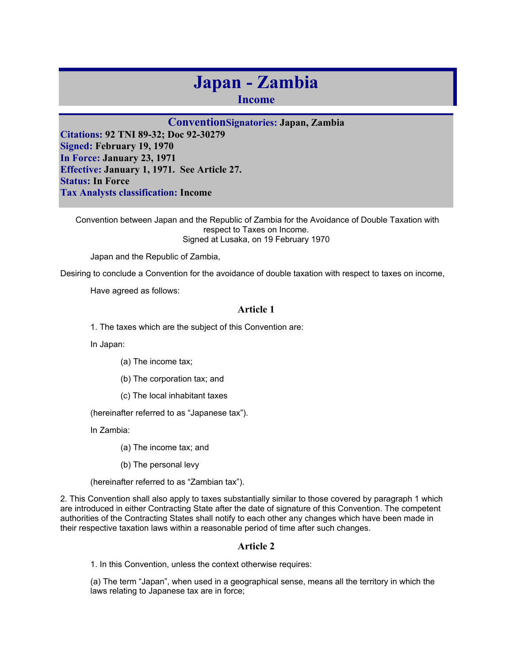# **Japan - Zambia**

**Income** 

**ConventionSignatories: Japan, Zambia** 

**Citations: 92 TNI 89-32; Doc 92-30279 Signed: February 19, 1970 In Force: January 23, 1971 Effective: January 1, 1971. See Article 27. Status: In Force Tax Analysts classification: Income** 

 Convention between Japan and the Republic of Zambia for the Avoidance of Double Taxation with respect to Taxes on Income. Signed at Lusaka, on 19 February 1970

Japan and the Republic of Zambia,

Desiring to conclude a Convention for the avoidance of double taxation with respect to taxes on income,

Have agreed as follows:

# **Article 1**

1. The taxes which are the subject of this Convention are:

In Japan:

- (a) The income tax;
- (b) The corporation tax; and
- (c) The local inhabitant taxes

(hereinafter referred to as "Japanese tax").

In Zambia:

(a) The income tax; and

(b) The personal levy

(hereinafter referred to as "Zambian tax").

2. This Convention shall also apply to taxes substantially similar to those covered by paragraph 1 which are introduced in either Contracting State after the date of signature of this Convention. The competent authorities of the Contracting States shall notify to each other any changes which have been made in their respective taxation laws within a reasonable period of time after such changes.

## **Article 2**

1. In this Convention, unless the context otherwise requires:

(a) The term "Japan", when used in a geographical sense, means all the territory in which the laws relating to Japanese tax are in force;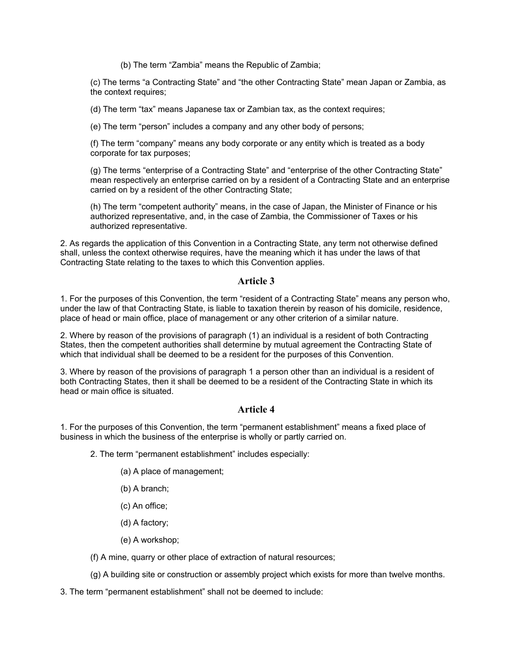(b) The term "Zambia" means the Republic of Zambia;

(c) The terms "a Contracting State" and "the other Contracting State" mean Japan or Zambia, as the context requires;

(d) The term "tax" means Japanese tax or Zambian tax, as the context requires;

(e) The term "person" includes a company and any other body of persons;

(f) The term "company" means any body corporate or any entity which is treated as a body corporate for tax purposes;

(g) The terms "enterprise of a Contracting State" and "enterprise of the other Contracting State" mean respectively an enterprise carried on by a resident of a Contracting State and an enterprise carried on by a resident of the other Contracting State;

(h) The term "competent authority" means, in the case of Japan, the Minister of Finance or his authorized representative, and, in the case of Zambia, the Commissioner of Taxes or his authorized representative.

2. As regards the application of this Convention in a Contracting State, any term not otherwise defined shall, unless the context otherwise requires, have the meaning which it has under the laws of that Contracting State relating to the taxes to which this Convention applies.

# **Article 3**

1. For the purposes of this Convention, the term "resident of a Contracting State" means any person who, under the law of that Contracting State, is liable to taxation therein by reason of his domicile, residence, place of head or main office, place of management or any other criterion of a similar nature.

2. Where by reason of the provisions of paragraph (1) an individual is a resident of both Contracting States, then the competent authorities shall determine by mutual agreement the Contracting State of which that individual shall be deemed to be a resident for the purposes of this Convention.

3. Where by reason of the provisions of paragraph 1 a person other than an individual is a resident of both Contracting States, then it shall be deemed to be a resident of the Contracting State in which its head or main office is situated.

## **Article 4**

1. For the purposes of this Convention, the term "permanent establishment" means a fixed place of business in which the business of the enterprise is wholly or partly carried on.

- 2. The term "permanent establishment" includes especially:
	- (a) A place of management;
	- (b) A branch;
	- (c) An office;
	- (d) A factory;
	- (e) A workshop;
- (f) A mine, quarry or other place of extraction of natural resources;

(g) A building site or construction or assembly project which exists for more than twelve months.

3. The term "permanent establishment" shall not be deemed to include: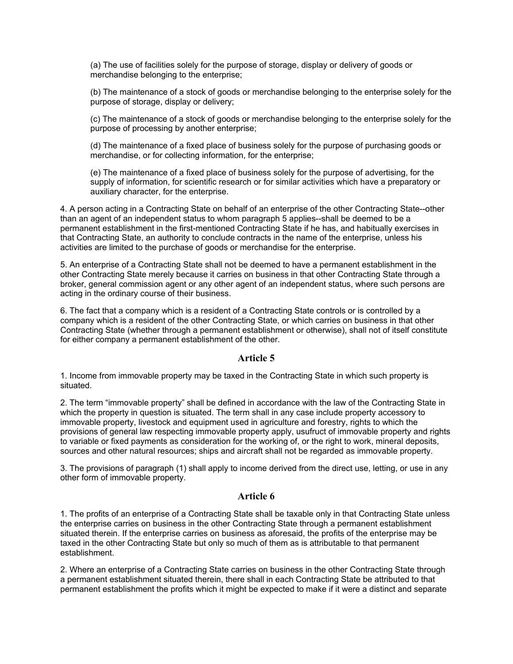(a) The use of facilities solely for the purpose of storage, display or delivery of goods or merchandise belonging to the enterprise;

(b) The maintenance of a stock of goods or merchandise belonging to the enterprise solely for the purpose of storage, display or delivery;

(c) The maintenance of a stock of goods or merchandise belonging to the enterprise solely for the purpose of processing by another enterprise;

(d) The maintenance of a fixed place of business solely for the purpose of purchasing goods or merchandise, or for collecting information, for the enterprise;

(e) The maintenance of a fixed place of business solely for the purpose of advertising, for the supply of information, for scientific research or for similar activities which have a preparatory or auxiliary character, for the enterprise.

4. A person acting in a Contracting State on behalf of an enterprise of the other Contracting State--other than an agent of an independent status to whom paragraph 5 applies--shall be deemed to be a permanent establishment in the first-mentioned Contracting State if he has, and habitually exercises in that Contracting State, an authority to conclude contracts in the name of the enterprise, unless his activities are limited to the purchase of goods or merchandise for the enterprise.

5. An enterprise of a Contracting State shall not be deemed to have a permanent establishment in the other Contracting State merely because it carries on business in that other Contracting State through a broker, general commission agent or any other agent of an independent status, where such persons are acting in the ordinary course of their business.

6. The fact that a company which is a resident of a Contracting State controls or is controlled by a company which is a resident of the other Contracting State, or which carries on business in that other Contracting State (whether through a permanent establishment or otherwise), shall not of itself constitute for either company a permanent establishment of the other.

## **Article 5**

1. Income from immovable property may be taxed in the Contracting State in which such property is situated.

2. The term "immovable property" shall be defined in accordance with the law of the Contracting State in which the property in question is situated. The term shall in any case include property accessory to immovable property, livestock and equipment used in agriculture and forestry, rights to which the provisions of general law respecting immovable property apply, usufruct of immovable property and rights to variable or fixed payments as consideration for the working of, or the right to work, mineral deposits, sources and other natural resources; ships and aircraft shall not be regarded as immovable property.

3. The provisions of paragraph (1) shall apply to income derived from the direct use, letting, or use in any other form of immovable property.

## **Article 6**

1. The profits of an enterprise of a Contracting State shall be taxable only in that Contracting State unless the enterprise carries on business in the other Contracting State through a permanent establishment situated therein. If the enterprise carries on business as aforesaid, the profits of the enterprise may be taxed in the other Contracting State but only so much of them as is attributable to that permanent establishment.

2. Where an enterprise of a Contracting State carries on business in the other Contracting State through a permanent establishment situated therein, there shall in each Contracting State be attributed to that permanent establishment the profits which it might be expected to make if it were a distinct and separate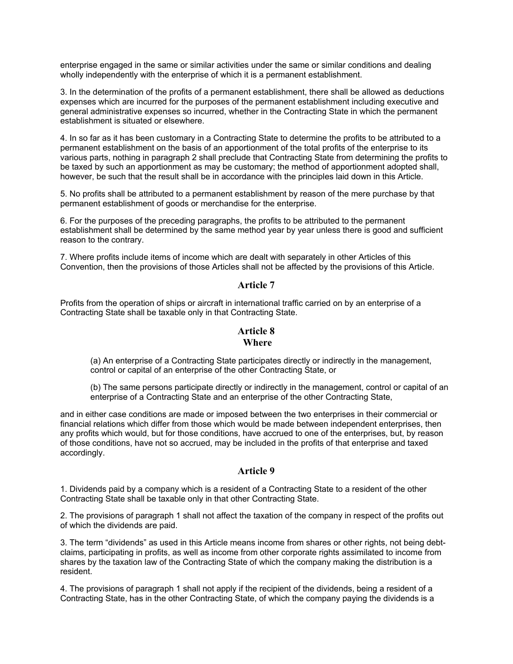enterprise engaged in the same or similar activities under the same or similar conditions and dealing wholly independently with the enterprise of which it is a permanent establishment.

3. In the determination of the profits of a permanent establishment, there shall be allowed as deductions expenses which are incurred for the purposes of the permanent establishment including executive and general administrative expenses so incurred, whether in the Contracting State in which the permanent establishment is situated or elsewhere.

4. In so far as it has been customary in a Contracting State to determine the profits to be attributed to a permanent establishment on the basis of an apportionment of the total profits of the enterprise to its various parts, nothing in paragraph 2 shall preclude that Contracting State from determining the profits to be taxed by such an apportionment as may be customary; the method of apportionment adopted shall, however, be such that the result shall be in accordance with the principles laid down in this Article.

5. No profits shall be attributed to a permanent establishment by reason of the mere purchase by that permanent establishment of goods or merchandise for the enterprise.

6. For the purposes of the preceding paragraphs, the profits to be attributed to the permanent establishment shall be determined by the same method year by year unless there is good and sufficient reason to the contrary.

7. Where profits include items of income which are dealt with separately in other Articles of this Convention, then the provisions of those Articles shall not be affected by the provisions of this Article.

#### **Article 7**

Profits from the operation of ships or aircraft in international traffic carried on by an enterprise of a Contracting State shall be taxable only in that Contracting State.

#### **Article 8 Where**

(a) An enterprise of a Contracting State participates directly or indirectly in the management, control or capital of an enterprise of the other Contracting State, or

(b) The same persons participate directly or indirectly in the management, control or capital of an enterprise of a Contracting State and an enterprise of the other Contracting State,

and in either case conditions are made or imposed between the two enterprises in their commercial or financial relations which differ from those which would be made between independent enterprises, then any profits which would, but for those conditions, have accrued to one of the enterprises, but, by reason of those conditions, have not so accrued, may be included in the profits of that enterprise and taxed accordingly.

## **Article 9**

1. Dividends paid by a company which is a resident of a Contracting State to a resident of the other Contracting State shall be taxable only in that other Contracting State.

2. The provisions of paragraph 1 shall not affect the taxation of the company in respect of the profits out of which the dividends are paid.

3. The term "dividends" as used in this Article means income from shares or other rights, not being debtclaims, participating in profits, as well as income from other corporate rights assimilated to income from shares by the taxation law of the Contracting State of which the company making the distribution is a resident.

4. The provisions of paragraph 1 shall not apply if the recipient of the dividends, being a resident of a Contracting State, has in the other Contracting State, of which the company paying the dividends is a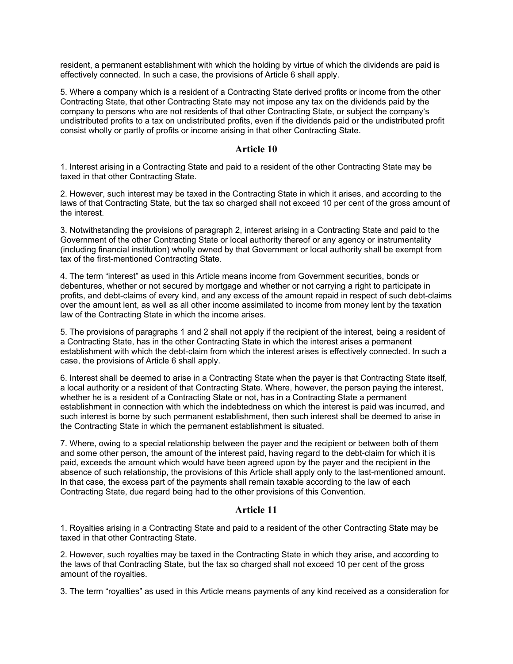resident, a permanent establishment with which the holding by virtue of which the dividends are paid is effectively connected. In such a case, the provisions of Article 6 shall apply.

5. Where a company which is a resident of a Contracting State derived profits or income from the other Contracting State, that other Contracting State may not impose any tax on the dividends paid by the company to persons who are not residents of that other Contracting State, or subject the company's undistributed profits to a tax on undistributed profits, even if the dividends paid or the undistributed profit consist wholly or partly of profits or income arising in that other Contracting State.

#### **Article 10**

1. Interest arising in a Contracting State and paid to a resident of the other Contracting State may be taxed in that other Contracting State.

2. However, such interest may be taxed in the Contracting State in which it arises, and according to the laws of that Contracting State, but the tax so charged shall not exceed 10 per cent of the gross amount of the interest.

3. Notwithstanding the provisions of paragraph 2, interest arising in a Contracting State and paid to the Government of the other Contracting State or local authority thereof or any agency or instrumentality (including financial institution) wholly owned by that Government or local authority shall be exempt from tax of the first-mentioned Contracting State.

4. The term "interest" as used in this Article means income from Government securities, bonds or debentures, whether or not secured by mortgage and whether or not carrying a right to participate in profits, and debt-claims of every kind, and any excess of the amount repaid in respect of such debt-claims over the amount lent, as well as all other income assimilated to income from money lent by the taxation law of the Contracting State in which the income arises.

5. The provisions of paragraphs 1 and 2 shall not apply if the recipient of the interest, being a resident of a Contracting State, has in the other Contracting State in which the interest arises a permanent establishment with which the debt-claim from which the interest arises is effectively connected. In such a case, the provisions of Article 6 shall apply.

6. Interest shall be deemed to arise in a Contracting State when the payer is that Contracting State itself, a local authority or a resident of that Contracting State. Where, however, the person paying the interest, whether he is a resident of a Contracting State or not, has in a Contracting State a permanent establishment in connection with which the indebtedness on which the interest is paid was incurred, and such interest is borne by such permanent establishment, then such interest shall be deemed to arise in the Contracting State in which the permanent establishment is situated.

7. Where, owing to a special relationship between the payer and the recipient or between both of them and some other person, the amount of the interest paid, having regard to the debt-claim for which it is paid, exceeds the amount which would have been agreed upon by the payer and the recipient in the absence of such relationship, the provisions of this Article shall apply only to the last-mentioned amount. In that case, the excess part of the payments shall remain taxable according to the law of each Contracting State, due regard being had to the other provisions of this Convention.

# **Article 11**

1. Royalties arising in a Contracting State and paid to a resident of the other Contracting State may be taxed in that other Contracting State.

2. However, such royalties may be taxed in the Contracting State in which they arise, and according to the laws of that Contracting State, but the tax so charged shall not exceed 10 per cent of the gross amount of the royalties.

3. The term "royalties" as used in this Article means payments of any kind received as a consideration for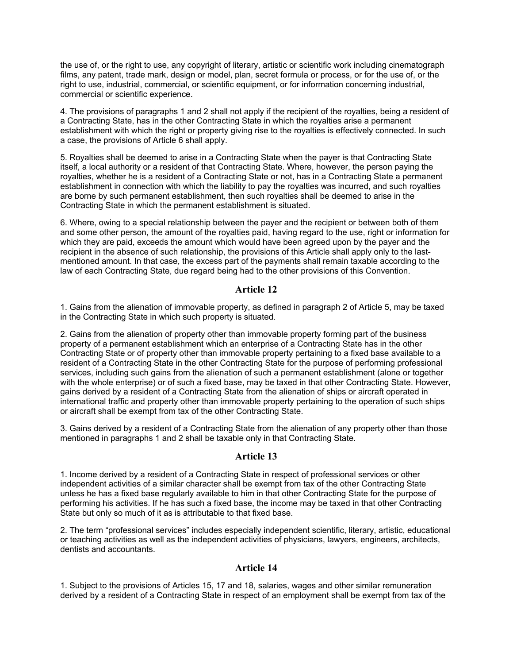the use of, or the right to use, any copyright of literary, artistic or scientific work including cinematograph films, any patent, trade mark, design or model, plan, secret formula or process, or for the use of, or the right to use, industrial, commercial, or scientific equipment, or for information concerning industrial, commercial or scientific experience.

4. The provisions of paragraphs 1 and 2 shall not apply if the recipient of the royalties, being a resident of a Contracting State, has in the other Contracting State in which the royalties arise a permanent establishment with which the right or property giving rise to the royalties is effectively connected. In such a case, the provisions of Article 6 shall apply.

5. Royalties shall be deemed to arise in a Contracting State when the payer is that Contracting State itself, a local authority or a resident of that Contracting State. Where, however, the person paying the royalties, whether he is a resident of a Contracting State or not, has in a Contracting State a permanent establishment in connection with which the liability to pay the royalties was incurred, and such royalties are borne by such permanent establishment, then such royalties shall be deemed to arise in the Contracting State in which the permanent establishment is situated.

6. Where, owing to a special relationship between the payer and the recipient or between both of them and some other person, the amount of the royalties paid, having regard to the use, right or information for which they are paid, exceeds the amount which would have been agreed upon by the payer and the recipient in the absence of such relationship, the provisions of this Article shall apply only to the lastmentioned amount. In that case, the excess part of the payments shall remain taxable according to the law of each Contracting State, due regard being had to the other provisions of this Convention.

#### **Article 12**

1. Gains from the alienation of immovable property, as defined in paragraph 2 of Article 5, may be taxed in the Contracting State in which such property is situated.

2. Gains from the alienation of property other than immovable property forming part of the business property of a permanent establishment which an enterprise of a Contracting State has in the other Contracting State or of property other than immovable property pertaining to a fixed base available to a resident of a Contracting State in the other Contracting State for the purpose of performing professional services, including such gains from the alienation of such a permanent establishment (alone or together with the whole enterprise) or of such a fixed base, may be taxed in that other Contracting State. However, gains derived by a resident of a Contracting State from the alienation of ships or aircraft operated in international traffic and property other than immovable property pertaining to the operation of such ships or aircraft shall be exempt from tax of the other Contracting State.

3. Gains derived by a resident of a Contracting State from the alienation of any property other than those mentioned in paragraphs 1 and 2 shall be taxable only in that Contracting State.

## **Article 13**

1. Income derived by a resident of a Contracting State in respect of professional services or other independent activities of a similar character shall be exempt from tax of the other Contracting State unless he has a fixed base regularly available to him in that other Contracting State for the purpose of performing his activities. If he has such a fixed base, the income may be taxed in that other Contracting State but only so much of it as is attributable to that fixed base.

2. The term "professional services" includes especially independent scientific, literary, artistic, educational or teaching activities as well as the independent activities of physicians, lawyers, engineers, architects, dentists and accountants.

# **Article 14**

1. Subject to the provisions of Articles 15, 17 and 18, salaries, wages and other similar remuneration derived by a resident of a Contracting State in respect of an employment shall be exempt from tax of the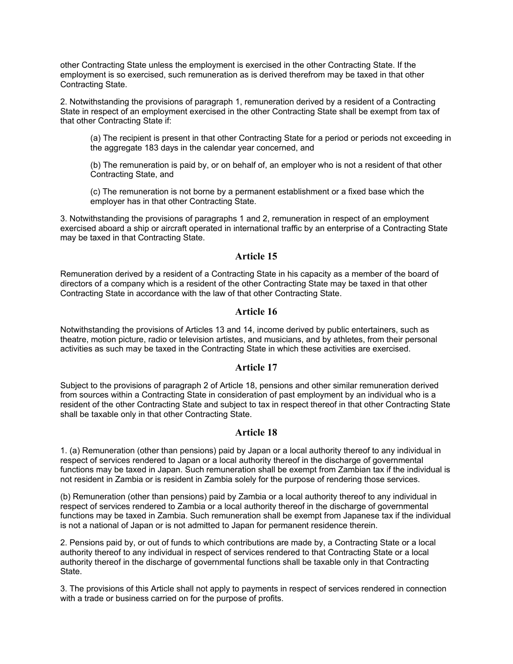other Contracting State unless the employment is exercised in the other Contracting State. If the employment is so exercised, such remuneration as is derived therefrom may be taxed in that other Contracting State.

2. Notwithstanding the provisions of paragraph 1, remuneration derived by a resident of a Contracting State in respect of an employment exercised in the other Contracting State shall be exempt from tax of that other Contracting State if:

(a) The recipient is present in that other Contracting State for a period or periods not exceeding in the aggregate 183 days in the calendar year concerned, and

(b) The remuneration is paid by, or on behalf of, an employer who is not a resident of that other Contracting State, and

(c) The remuneration is not borne by a permanent establishment or a fixed base which the employer has in that other Contracting State.

3. Notwithstanding the provisions of paragraphs 1 and 2, remuneration in respect of an employment exercised aboard a ship or aircraft operated in international traffic by an enterprise of a Contracting State may be taxed in that Contracting State.

#### **Article 15**

Remuneration derived by a resident of a Contracting State in his capacity as a member of the board of directors of a company which is a resident of the other Contracting State may be taxed in that other Contracting State in accordance with the law of that other Contracting State.

#### **Article 16**

Notwithstanding the provisions of Articles 13 and 14, income derived by public entertainers, such as theatre, motion picture, radio or television artistes, and musicians, and by athletes, from their personal activities as such may be taxed in the Contracting State in which these activities are exercised.

#### **Article 17**

Subject to the provisions of paragraph 2 of Article 18, pensions and other similar remuneration derived from sources within a Contracting State in consideration of past employment by an individual who is a resident of the other Contracting State and subject to tax in respect thereof in that other Contracting State shall be taxable only in that other Contracting State.

#### **Article 18**

1. (a) Remuneration (other than pensions) paid by Japan or a local authority thereof to any individual in respect of services rendered to Japan or a local authority thereof in the discharge of governmental functions may be taxed in Japan. Such remuneration shall be exempt from Zambian tax if the individual is not resident in Zambia or is resident in Zambia solely for the purpose of rendering those services.

(b) Remuneration (other than pensions) paid by Zambia or a local authority thereof to any individual in respect of services rendered to Zambia or a local authority thereof in the discharge of governmental functions may be taxed in Zambia. Such remuneration shall be exempt from Japanese tax if the individual is not a national of Japan or is not admitted to Japan for permanent residence therein.

2. Pensions paid by, or out of funds to which contributions are made by, a Contracting State or a local authority thereof to any individual in respect of services rendered to that Contracting State or a local authority thereof in the discharge of governmental functions shall be taxable only in that Contracting State.

3. The provisions of this Article shall not apply to payments in respect of services rendered in connection with a trade or business carried on for the purpose of profits.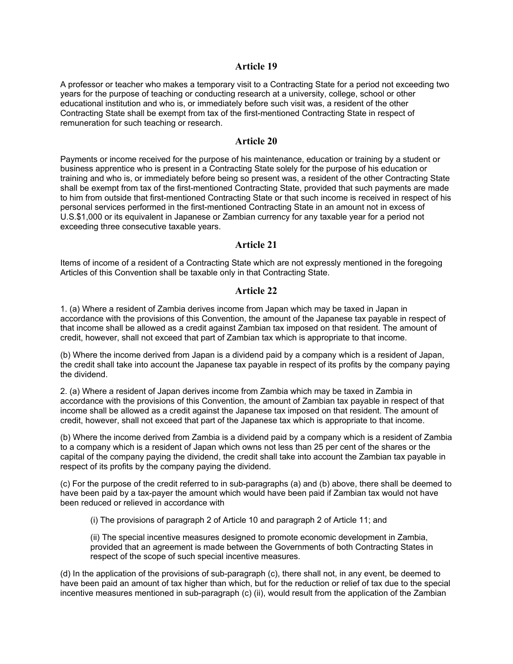#### **Article 19**

A professor or teacher who makes a temporary visit to a Contracting State for a period not exceeding two years for the purpose of teaching or conducting research at a university, college, school or other educational institution and who is, or immediately before such visit was, a resident of the other Contracting State shall be exempt from tax of the first-mentioned Contracting State in respect of remuneration for such teaching or research.

#### **Article 20**

Payments or income received for the purpose of his maintenance, education or training by a student or business apprentice who is present in a Contracting State solely for the purpose of his education or training and who is, or immediately before being so present was, a resident of the other Contracting State shall be exempt from tax of the first-mentioned Contracting State, provided that such payments are made to him from outside that first-mentioned Contracting State or that such income is received in respect of his personal services performed in the first-mentioned Contracting State in an amount not in excess of U.S.\$1,000 or its equivalent in Japanese or Zambian currency for any taxable year for a period not exceeding three consecutive taxable years.

## **Article 21**

Items of income of a resident of a Contracting State which are not expressly mentioned in the foregoing Articles of this Convention shall be taxable only in that Contracting State.

#### **Article 22**

1. (a) Where a resident of Zambia derives income from Japan which may be taxed in Japan in accordance with the provisions of this Convention, the amount of the Japanese tax payable in respect of that income shall be allowed as a credit against Zambian tax imposed on that resident. The amount of credit, however, shall not exceed that part of Zambian tax which is appropriate to that income.

(b) Where the income derived from Japan is a dividend paid by a company which is a resident of Japan, the credit shall take into account the Japanese tax payable in respect of its profits by the company paying the dividend.

2. (a) Where a resident of Japan derives income from Zambia which may be taxed in Zambia in accordance with the provisions of this Convention, the amount of Zambian tax payable in respect of that income shall be allowed as a credit against the Japanese tax imposed on that resident. The amount of credit, however, shall not exceed that part of the Japanese tax which is appropriate to that income.

(b) Where the income derived from Zambia is a dividend paid by a company which is a resident of Zambia to a company which is a resident of Japan which owns not less than 25 per cent of the shares or the capital of the company paying the dividend, the credit shall take into account the Zambian tax payable in respect of its profits by the company paying the dividend.

(c) For the purpose of the credit referred to in sub-paragraphs (a) and (b) above, there shall be deemed to have been paid by a tax-payer the amount which would have been paid if Zambian tax would not have been reduced or relieved in accordance with

(i) The provisions of paragraph 2 of Article 10 and paragraph 2 of Article 11; and

(ii) The special incentive measures designed to promote economic development in Zambia, provided that an agreement is made between the Governments of both Contracting States in respect of the scope of such special incentive measures.

(d) In the application of the provisions of sub-paragraph (c), there shall not, in any event, be deemed to have been paid an amount of tax higher than which, but for the reduction or relief of tax due to the special incentive measures mentioned in sub-paragraph (c) (ii), would result from the application of the Zambian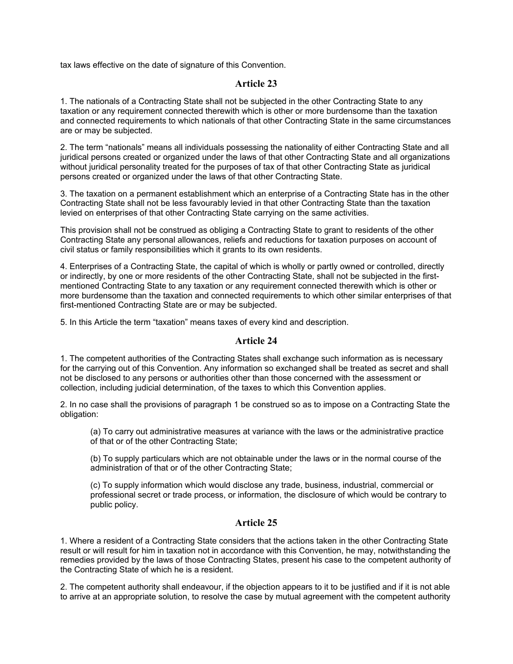tax laws effective on the date of signature of this Convention.

## **Article 23**

1. The nationals of a Contracting State shall not be subjected in the other Contracting State to any taxation or any requirement connected therewith which is other or more burdensome than the taxation and connected requirements to which nationals of that other Contracting State in the same circumstances are or may be subjected.

2. The term "nationals" means all individuals possessing the nationality of either Contracting State and all juridical persons created or organized under the laws of that other Contracting State and all organizations without juridical personality treated for the purposes of tax of that other Contracting State as juridical persons created or organized under the laws of that other Contracting State.

3. The taxation on a permanent establishment which an enterprise of a Contracting State has in the other Contracting State shall not be less favourably levied in that other Contracting State than the taxation levied on enterprises of that other Contracting State carrying on the same activities.

This provision shall not be construed as obliging a Contracting State to grant to residents of the other Contracting State any personal allowances, reliefs and reductions for taxation purposes on account of civil status or family responsibilities which it grants to its own residents.

4. Enterprises of a Contracting State, the capital of which is wholly or partly owned or controlled, directly or indirectly, by one or more residents of the other Contracting State, shall not be subjected in the firstmentioned Contracting State to any taxation or any requirement connected therewith which is other or more burdensome than the taxation and connected requirements to which other similar enterprises of that first-mentioned Contracting State are or may be subjected.

5. In this Article the term "taxation" means taxes of every kind and description.

# **Article 24**

1. The competent authorities of the Contracting States shall exchange such information as is necessary for the carrying out of this Convention. Any information so exchanged shall be treated as secret and shall not be disclosed to any persons or authorities other than those concerned with the assessment or collection, including judicial determination, of the taxes to which this Convention applies.

2. In no case shall the provisions of paragraph 1 be construed so as to impose on a Contracting State the obligation:

(a) To carry out administrative measures at variance with the laws or the administrative practice of that or of the other Contracting State;

(b) To supply particulars which are not obtainable under the laws or in the normal course of the administration of that or of the other Contracting State;

(c) To supply information which would disclose any trade, business, industrial, commercial or professional secret or trade process, or information, the disclosure of which would be contrary to public policy.

# **Article 25**

1. Where a resident of a Contracting State considers that the actions taken in the other Contracting State result or will result for him in taxation not in accordance with this Convention, he may, notwithstanding the remedies provided by the laws of those Contracting States, present his case to the competent authority of the Contracting State of which he is a resident.

2. The competent authority shall endeavour, if the objection appears to it to be justified and if it is not able to arrive at an appropriate solution, to resolve the case by mutual agreement with the competent authority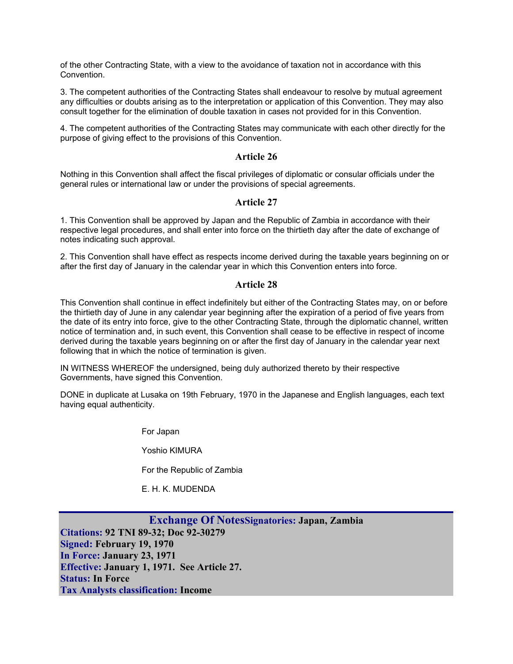of the other Contracting State, with a view to the avoidance of taxation not in accordance with this Convention.

3. The competent authorities of the Contracting States shall endeavour to resolve by mutual agreement any difficulties or doubts arising as to the interpretation or application of this Convention. They may also consult together for the elimination of double taxation in cases not provided for in this Convention.

4. The competent authorities of the Contracting States may communicate with each other directly for the purpose of giving effect to the provisions of this Convention.

## **Article 26**

Nothing in this Convention shall affect the fiscal privileges of diplomatic or consular officials under the general rules or international law or under the provisions of special agreements.

## **Article 27**

1. This Convention shall be approved by Japan and the Republic of Zambia in accordance with their respective legal procedures, and shall enter into force on the thirtieth day after the date of exchange of notes indicating such approval.

2. This Convention shall have effect as respects income derived during the taxable years beginning on or after the first day of January in the calendar year in which this Convention enters into force.

#### **Article 28**

This Convention shall continue in effect indefinitely but either of the Contracting States may, on or before the thirtieth day of June in any calendar year beginning after the expiration of a period of five years from the date of its entry into force, give to the other Contracting State, through the diplomatic channel, written notice of termination and, in such event, this Convention shall cease to be effective in respect of income derived during the taxable years beginning on or after the first day of January in the calendar year next following that in which the notice of termination is given.

IN WITNESS WHEREOF the undersigned, being duly authorized thereto by their respective Governments, have signed this Convention.

DONE in duplicate at Lusaka on 19th February, 1970 in the Japanese and English languages, each text having equal authenticity.

For Japan

Yoshio KIMURA

For the Republic of Zambia

E. H. K. MUDENDA

**Exchange Of NotesSignatories: Japan, Zambia Citations: 92 TNI 89-32; Doc 92-30279 Signed: February 19, 1970 In Force: January 23, 1971 Effective: January 1, 1971. See Article 27. Status: In Force Tax Analysts classification: Income**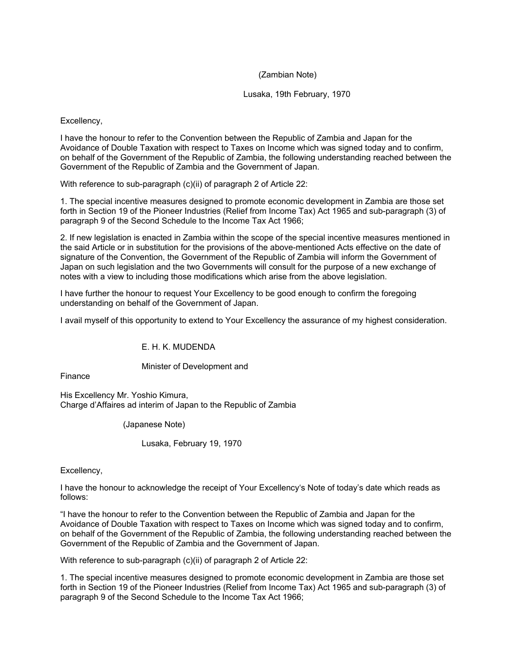## (Zambian Note)

#### Lusaka, 19th February, 1970

Excellency,

I have the honour to refer to the Convention between the Republic of Zambia and Japan for the Avoidance of Double Taxation with respect to Taxes on Income which was signed today and to confirm, on behalf of the Government of the Republic of Zambia, the following understanding reached between the Government of the Republic of Zambia and the Government of Japan.

With reference to sub-paragraph (c)(ii) of paragraph 2 of Article 22:

1. The special incentive measures designed to promote economic development in Zambia are those set forth in Section 19 of the Pioneer Industries (Relief from Income Tax) Act 1965 and sub-paragraph (3) of paragraph 9 of the Second Schedule to the Income Tax Act 1966;

2. If new legislation is enacted in Zambia within the scope of the special incentive measures mentioned in the said Article or in substitution for the provisions of the above-mentioned Acts effective on the date of signature of the Convention, the Government of the Republic of Zambia will inform the Government of Japan on such legislation and the two Governments will consult for the purpose of a new exchange of notes with a view to including those modifications which arise from the above legislation.

I have further the honour to request Your Excellency to be good enough to confirm the foregoing understanding on behalf of the Government of Japan.

I avail myself of this opportunity to extend to Your Excellency the assurance of my highest consideration.

E. H. K. MUDENDA

Minister of Development and

Finance

His Excellency Mr. Yoshio Kimura, Charge d'Affaires ad interim of Japan to the Republic of Zambia

(Japanese Note)

Lusaka, February 19, 1970

Excellency,

I have the honour to acknowledge the receipt of Your Excellency's Note of today's date which reads as follows:

"I have the honour to refer to the Convention between the Republic of Zambia and Japan for the Avoidance of Double Taxation with respect to Taxes on Income which was signed today and to confirm, on behalf of the Government of the Republic of Zambia, the following understanding reached between the Government of the Republic of Zambia and the Government of Japan.

With reference to sub-paragraph (c)(ii) of paragraph 2 of Article 22:

1. The special incentive measures designed to promote economic development in Zambia are those set forth in Section 19 of the Pioneer Industries (Relief from Income Tax) Act 1965 and sub-paragraph (3) of paragraph 9 of the Second Schedule to the Income Tax Act 1966;